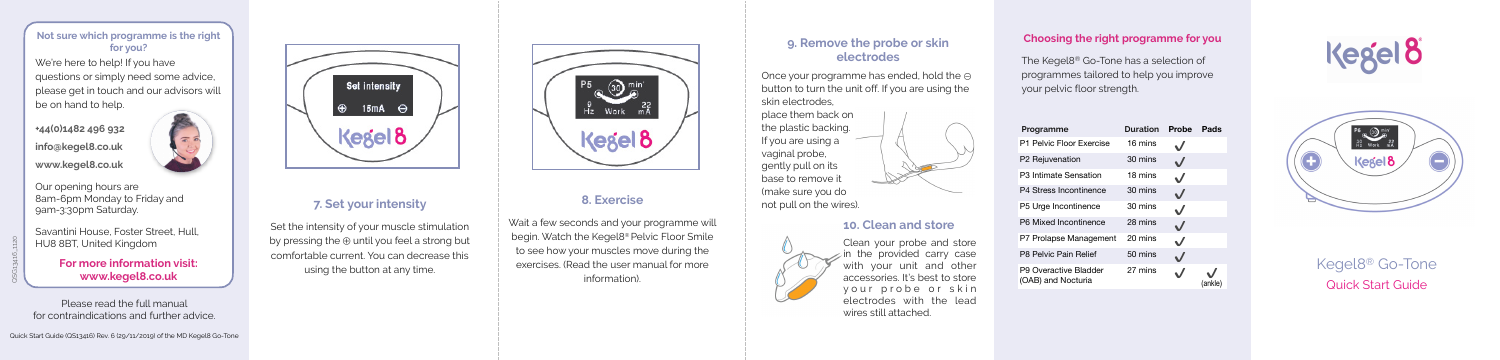# Kegel8® Go-Tone Quick Start Guide

#### **7. Set your intensity**

Set the intensity of your muscle stimulation by pressing the ⊕ until you feel a strong but comfortable current. You can decrease this using the button at any time.



#### **8. Exercise**

Wait a few seconds and your programme will begin. Watch the Kegel8® Pelvic Floor Smile to see how your muscles move during the exercises. (Read the user manual for more information).

#### **9. Remove the probe or skin electrodes**

Once your programme has ended, hold the ⊝ button to turn the unit off. If you are using the skin electrodes,

place them back on the plastic backing. If you are using a vaginal probe, gently pull on its base to remove it (make sure you do not pull on the wires).



#### **10. Clean and store**



Clean your probe and store  $\epsilon$  in the provided carry case with your unit and other accessories. It's best to store your probe or skin electrodes with the lead wires still attached.

We're here to help! If you have questions or simply need some advice, please get in touch and our advisors will be on hand to help.

#### **Choosing the right programme for you**

The Kegel8® Go-Tone has a selection of programmes tailored to help you improve your pelvic floor strength.

| Programme                                   | <b>Duration</b> | Probe        | Pads    |
|---------------------------------------------|-----------------|--------------|---------|
| P1 Pelvic Floor Exercise                    | 16 mins         |              |         |
| P2 Rejuvenation                             | 30 mins         |              |         |
| P3 Intimate Sensation                       | 18 mins         | $\checkmark$ |         |
| P4 Stress Incontinence                      | 30 mins         | $\checkmark$ |         |
| P5 Urge Incontinence                        | 30 mins         | $\checkmark$ |         |
| P6 Mixed Incontinence                       | 28 mins         | $\checkmark$ |         |
| P7 Prolapse Management                      | 20 mins         | $\checkmark$ |         |
| P8 Pelvic Pain Relief                       | 50 mins         |              |         |
| P9 Overactive Bladder<br>(OAB) and Nocturia | 27 mins         |              | (ankle) |





Please read the full manual for contraindications and further advice.



#### **Not sure which programme is the right for you?**

**+44(0)1482 496 932 info@kegel8.co.uk www.kegel8.co.uk** 



Our opening hours are 8am-6pm Monday to Friday and 9am-3:30pm Saturday.

Savantini House, Foster Street, Hull, HU8 8BT, United Kingdom

> **For more information visit: www.kegel8.co.uk**